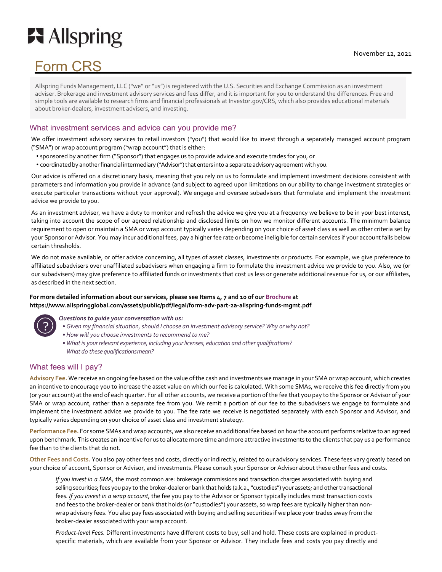# **六** Allspring

## Form CRS

Allspring Funds Management, LLC ("we" or "us") is registered with the U.S. Securities and Exchange Commission as an investment adviser. Brokerage and investment advisory services and fees differ, and it is important for you to understand the differences. Free and simple tools are available to research firms and financial professionals at Investor.gov/CRS, which also provides educational materials about broker-dealers, investment advisers, and investing.

#### What investment services and advice can you provide me?

We offer investment advisory services to retail investors ("you") that would like to invest through a separately managed account program ("SMA") or wrap account program ("wrap account") that is either:

- sponsored by another firm ("Sponsor") that engages us to provide advice and execute trades for you, or
- coordinated by another financial intermediary ("Advisor") that enters into a separate advisory agreement with you.

Our advice is offered on a discretionary basis, meaning that you rely on us to formulate and implement investment decisions consistent with parameters and information you provide in advance (and subject to agreed upon limitations on our ability to change investment strategies or execute particular transactions without your approval). We engage and oversee subadvisers that formulate and implement the investment advice we provide to you.

As an investment adviser, we have a duty to monitor and refresh the advice we give you at a frequency we believe to be in your best interest, taking into account the scope of our agreed relationship and disclosed limits on how we monitor different accounts. The minimum balance requirement to open or maintain a SMA or wrap account typically varies depending on your choice of asset class as well as other criteria set by your Sponsor or Advisor. You may incur additional fees, pay a higher fee rate or become ineligible for certain services if your account falls below certain thresholds.

We do not make available, or offer advice concerning, all types of asset classes, investments or products. For example, we give preference to affiliated subadvisers over unaffiliated subadvisers when engaging a firm to formulate the investment advice we provide to you. Also, we (or our subadvisers) may give preference to affiliated funds or investments that cost us less or generate additional revenue for us, or our affiliates, as described in the next section.

#### **For more detailed information about our services, please see Items 4, 7 and 10 of our Brochure at https://www.allspringglobal.com/assets/public/pdf/legal/form-adv-part-2a-allspring-funds-mgmt.pdf**



*Questions to guide your conversation with us:*

- *•Given my financial situation, should I choose an investment advisory service? Why or why not? •How will you choose investments to recommend to me?*
- *• What is your relevant experience, including your licenses, education and other qualifications? What do these qualifications mean?*

#### What fees will I pay?

**Advisory Fee.** We receive an ongoing fee based on the value of the cash and investments we manage in your SMA or wrap account, which creates an incentive to encourage you to increase the asset value on which our fee is calculated. With some SMAs, we receive this fee directly from you (or your account) at the end of each quarter. For all other accounts, we receive a portion of the fee that you pay to the Sponsor or Advisor of your SMA or wrap account, rather than a separate fee from you. We remit a portion of our fee to the subadvisers we engage to formulate and implement the investment advice we provide to you. The fee rate we receive is negotiated separately with each Sponsor and Advisor, and typically varies depending on your choice of asset class and investment strategy.

**Performance Fee.** For some SMAs and wrap accounts, we also receive an additional fee based on how the account performs relative to an agreed upon benchmark. This creates an incentive for us to allocate more time and more attractive investments to the clients that pay us a performance fee than to the clients that do not.

**Other Fees and Costs.** You also pay other fees and costs, directly or indirectly, related to our advisory services. These fees vary greatly based on your choice of account, Sponsor or Advisor, and investments. Please consult your Sponsor or Advisor about these other fees and costs.

*If you invest in a SMA,* the most common are: brokerage commissions and transaction charges associated with buying and selling securities; fees you pay to the broker-dealer or bank that holds (a.k.a., "custodies") your assets; and other transactional fees. *If you invest in a wrap account,* the fee you pay to the Advisor or Sponsor typically includes most transaction costs and fees to the broker-dealer or bank that holds (or "custodies") your assets, so wrap fees are typically higher than nonwrap advisory fees. You also pay fees associated with buying and selling securities if we place your trades away from the broker-dealer associated with your wrap account.

*Product-level Fees.* Different investments have different costs to buy, sell and hold. These costs are explained in productspecific materials, which are available from your Sponsor or Advisor. They include fees and costs you pay directly and